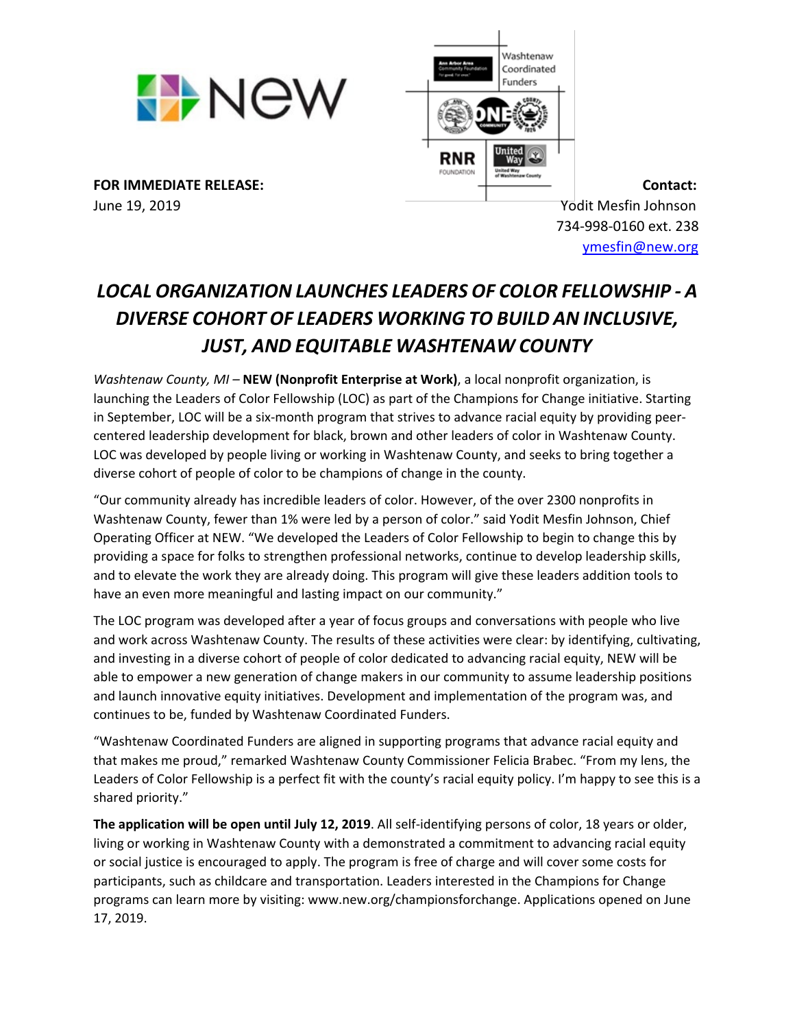



June 19, 2019 Yodit Mesfin Johnson

 734-998-0160 ext. 238 [ymesfin@new.org](mailto:ymesfin@new.org)

## *LOCAL ORGANIZATION LAUNCHES LEADERS OF COLOR FELLOWSHIP - A DIVERSE COHORT OF LEADERS WORKING TO BUILD AN INCLUSIVE, JUST, AND EQUITABLE WASHTENAW COUNTY*

*Washtenaw County, MI –* **NEW (Nonprofit Enterprise at Work)**, a local nonprofit organization, is launching the Leaders of Color Fellowship (LOC) as part of the Champions for Change initiative. Starting in September, LOC will be a six-month program that strives to advance racial equity by providing peercentered leadership development for black, brown and other leaders of color in Washtenaw County. LOC was developed by people living or working in Washtenaw County, and seeks to bring together a diverse cohort of people of color to be champions of change in the county.

"Our community already has incredible leaders of color. However, of the over 2300 nonprofits in Washtenaw County, fewer than 1% were led by a person of color." said Yodit Mesfin Johnson, Chief Operating Officer at NEW. "We developed the Leaders of Color Fellowship to begin to change this by providing a space for folks to strengthen professional networks, continue to develop leadership skills, and to elevate the work they are already doing. This program will give these leaders addition tools to have an even more meaningful and lasting impact on our community."

The LOC program was developed after a year of focus groups and conversations with people who live and work across Washtenaw County. The results of these activities were clear: by identifying, cultivating, and investing in a diverse cohort of people of color dedicated to advancing racial equity, NEW will be able to empower a new generation of change makers in our community to assume leadership positions and launch innovative equity initiatives. Development and implementation of the program was, and continues to be, funded by Washtenaw Coordinated Funders.

"Washtenaw Coordinated Funders are aligned in supporting programs that advance racial equity and that makes me proud," remarked Washtenaw County Commissioner Felicia Brabec. "From my lens, the Leaders of Color Fellowship is a perfect fit with the county's racial equity policy. I'm happy to see this is a shared priority."

**The application will be open until July 12, 2019**. All self-identifying persons of color, 18 years or older, living or working in Washtenaw County with a demonstrated a commitment to advancing racial equity or social justice is encouraged to apply. The program is free of charge and will cover some costs for participants, such as childcare and transportation. Leaders interested in the Champions for Change programs can learn more by visiting: www.new.org/championsforchange. Applications opened on June 17, 2019.